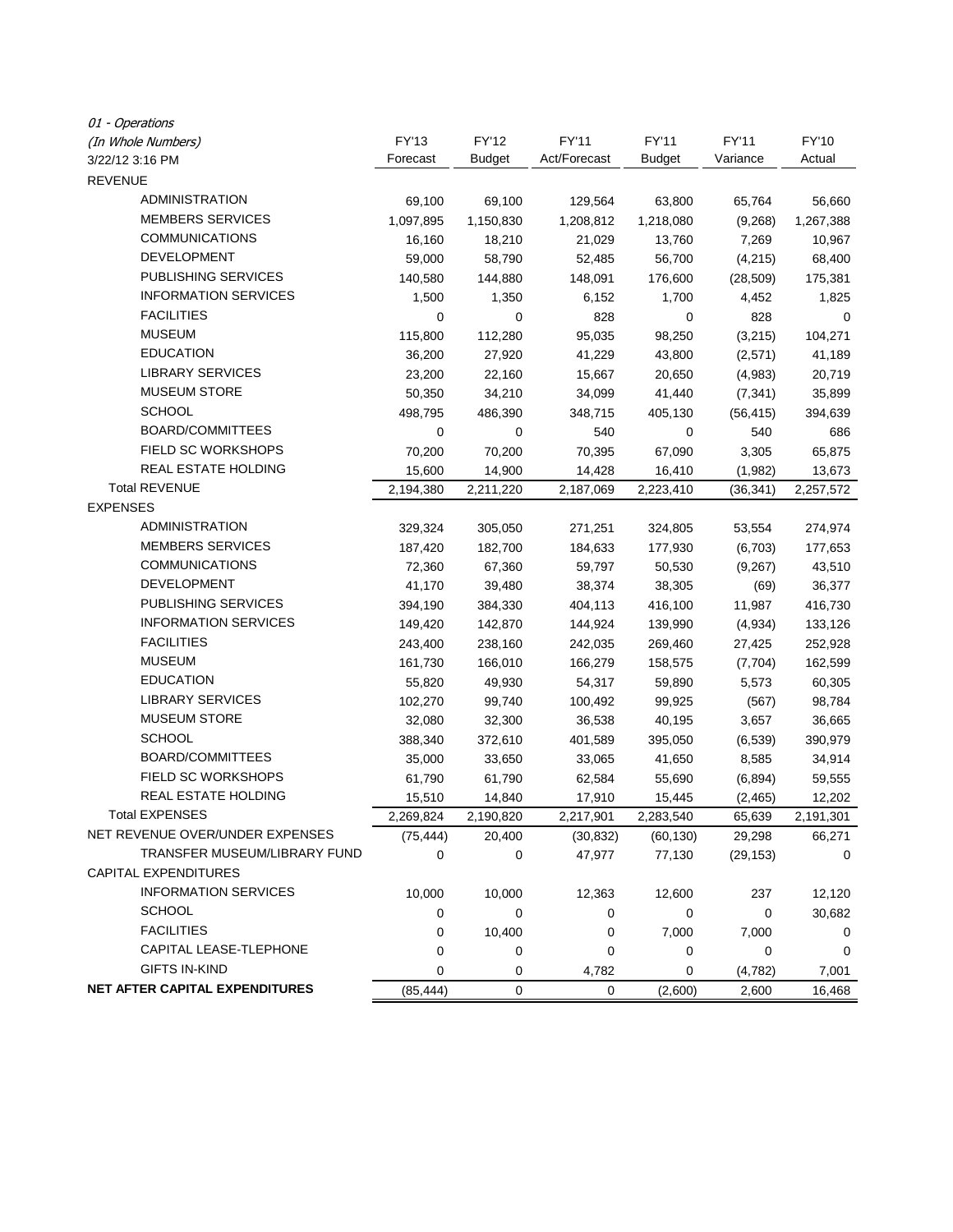| 01 - Operations                       |           |               |              |               |           |           |
|---------------------------------------|-----------|---------------|--------------|---------------|-----------|-----------|
| (In Whole Numbers)                    | FY'13     | <b>FY'12</b>  | FY'11        | FY'11         | FY'11     | FY'10     |
| 3/22/12 3:16 PM                       | Forecast  | <b>Budget</b> | Act/Forecast | <b>Budget</b> | Variance  | Actual    |
| <b>REVENUE</b>                        |           |               |              |               |           |           |
| ADMINISTRATION                        | 69,100    | 69,100        | 129,564      | 63,800        | 65,764    | 56,660    |
| <b>MEMBERS SERVICES</b>               | 1,097,895 | 1,150,830     | 1,208,812    | 1,218,080     | (9,268)   | 1,267,388 |
| <b>COMMUNICATIONS</b>                 | 16,160    | 18,210        | 21,029       | 13,760        | 7,269     | 10,967    |
| <b>DEVELOPMENT</b>                    | 59,000    | 58,790        | 52,485       | 56,700        | (4,215)   | 68,400    |
| <b>PUBLISHING SERVICES</b>            | 140,580   | 144,880       | 148,091      | 176,600       | (28, 509) | 175,381   |
| <b>INFORMATION SERVICES</b>           | 1,500     | 1,350         | 6,152        | 1,700         | 4,452     | 1,825     |
| <b>FACILITIES</b>                     | 0         | 0             | 828          | 0             | 828       | 0         |
| <b>MUSEUM</b>                         | 115,800   | 112,280       | 95,035       | 98,250        | (3,215)   | 104,271   |
| <b>EDUCATION</b>                      | 36,200    | 27,920        | 41,229       | 43,800        | (2,571)   | 41,189    |
| <b>LIBRARY SERVICES</b>               | 23,200    | 22,160        | 15,667       | 20,650        | (4,983)   | 20,719    |
| <b>MUSEUM STORE</b>                   | 50,350    | 34,210        | 34,099       | 41,440        | (7, 341)  | 35,899    |
| <b>SCHOOL</b>                         | 498,795   | 486,390       | 348,715      | 405,130       | (56, 415) | 394,639   |
| BOARD/COMMITTEES                      | 0         | 0             | 540          | 0             | 540       | 686       |
| FIELD SC WORKSHOPS                    | 70,200    | 70,200        | 70,395       | 67,090        | 3,305     | 65,875    |
| REAL ESTATE HOLDING                   | 15,600    | 14,900        | 14,428       | 16,410        | (1,982)   | 13,673    |
| <b>Total REVENUE</b>                  | 2,194,380 | 2,211,220     | 2,187,069    | 2,223,410     | (36, 341) | 2,257,572 |
| <b>EXPENSES</b>                       |           |               |              |               |           |           |
| <b>ADMINISTRATION</b>                 | 329,324   | 305,050       | 271,251      | 324,805       | 53,554    | 274,974   |
| <b>MEMBERS SERVICES</b>               | 187,420   | 182,700       | 184,633      | 177,930       | (6,703)   | 177,653   |
| <b>COMMUNICATIONS</b>                 | 72,360    | 67,360        | 59,797       | 50,530        | (9,267)   | 43,510    |
| <b>DEVELOPMENT</b>                    | 41,170    | 39,480        | 38,374       | 38,305        | (69)      | 36,377    |
| PUBLISHING SERVICES                   | 394,190   | 384,330       | 404,113      | 416,100       | 11,987    | 416,730   |
| <b>INFORMATION SERVICES</b>           | 149,420   | 142,870       | 144,924      | 139,990       | (4,934)   | 133,126   |
| <b>FACILITIES</b>                     | 243,400   | 238,160       | 242,035      | 269,460       | 27,425    | 252,928   |
| <b>MUSEUM</b>                         | 161,730   | 166,010       | 166,279      | 158,575       | (7, 704)  | 162,599   |
| <b>EDUCATION</b>                      | 55,820    | 49,930        | 54,317       | 59,890        | 5,573     | 60,305    |
| <b>LIBRARY SERVICES</b>               | 102,270   | 99,740        | 100,492      | 99,925        | (567)     | 98,784    |
| <b>MUSEUM STORE</b>                   | 32,080    | 32,300        | 36,538       | 40,195        | 3,657     | 36,665    |
| <b>SCHOOL</b>                         | 388,340   | 372,610       | 401,589      | 395,050       | (6, 539)  | 390,979   |
| <b>BOARD/COMMITTEES</b>               | 35,000    | 33,650        | 33,065       | 41,650        | 8,585     | 34,914    |
| <b>FIELD SC WORKSHOPS</b>             | 61,790    | 61,790        | 62,584       | 55,690        | (6, 894)  | 59,555    |
| <b>REAL ESTATE HOLDING</b>            | 15,510    | 14,840        | 17,910       | 15,445        | (2,465)   | 12,202    |
| <b>Total EXPENSES</b>                 | 2,269,824 | 2,190,820     | 2,217,901    | 2,283,540     | 65,639    | 2,191,301 |
| NET REVENUE OVER/UNDER EXPENSES       | (75, 444) | 20,400        | (30, 832)    | (60, 130)     | 29,298    | 66,271    |
| TRANSFER MUSEUM/LIBRARY FUND          | 0         | 0             | 47,977       | 77,130        | (29, 153) | 0         |
| CAPITAL EXPENDITURES                  |           |               |              |               |           |           |
| <b>INFORMATION SERVICES</b>           | 10,000    | 10,000        | 12,363       | 12,600        | 237       | 12,120    |
| <b>SCHOOL</b>                         | 0         | 0             | 0            | 0             | 0         | 30,682    |
| <b>FACILITIES</b>                     | 0         | 10,400        | 0            | 7,000         | 7,000     | 0         |
| CAPITAL LEASE-TLEPHONE                | 0         | 0             | 0            | 0             | 0         | 0         |
| <b>GIFTS IN-KIND</b>                  | 0         | 0             | 4,782        | 0             | (4, 782)  | 7,001     |
| <b>NET AFTER CAPITAL EXPENDITURES</b> | (85, 444) | $\pmb{0}$     | 0            | (2,600)       | 2,600     | 16,468    |